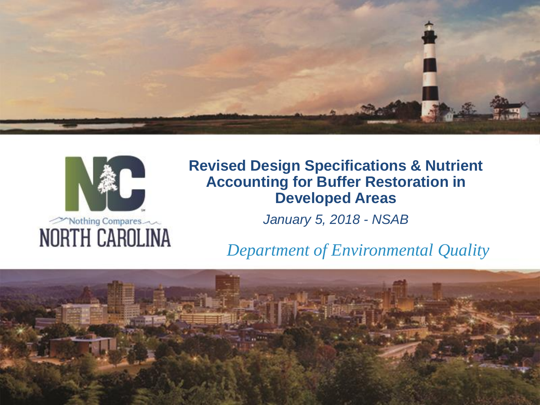



#### **Revised Design Specifications & Nutrient Accounting for Buffer Restoration in Developed Areas**

*January 5, 2018 - NSAB*

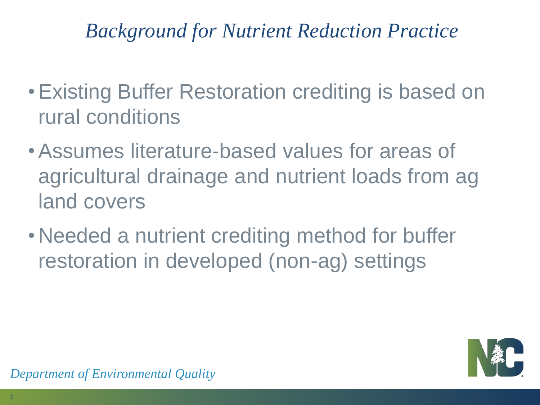## *Background for Nutrient Reduction Practice*

- •Existing Buffer Restoration crediting is based on rural conditions
- •Assumes literature-based values for areas of agricultural drainage and nutrient loads from ag land covers
- •Needed a nutrient crediting method for buffer restoration in developed (non-ag) settings

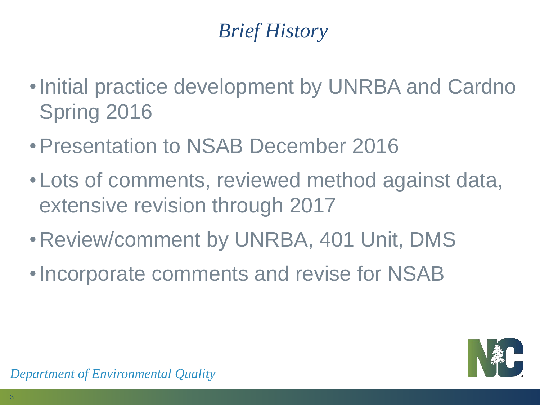# *Brief History*

- •Initial practice development by UNRBA and Cardno Spring 2016
- •Presentation to NSAB December 2016
- •Lots of comments, reviewed method against data, extensive revision through 2017
- •Review/comment by UNRBA, 401 Unit, DMS
- •Incorporate comments and revise for NSAB

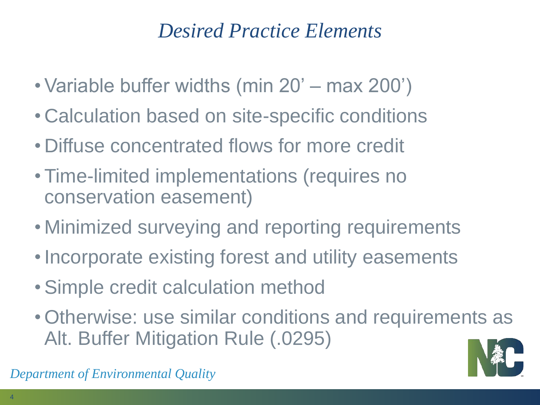## *Desired Practice Elements*

- Variable buffer widths (min 20' max 200')
- Calculation based on site-specific conditions
- Diffuse concentrated flows for more credit
- Time-limited implementations (requires no conservation easement)
- Minimized surveying and reporting requirements
- Incorporate existing forest and utility easements
- Simple credit calculation method
- Otherwise: use similar conditions and requirements as Alt. Buffer Mitigation Rule (.0295)

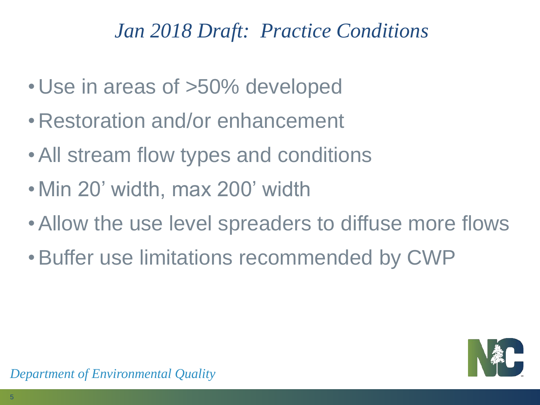# *Jan 2018 Draft: Practice Conditions*

- •Use in areas of >50% developed
- •Restoration and/or enhancement
- All stream flow types and conditions
- •Min 20' width, max 200' width
- Allow the use level spreaders to diffuse more flows
- •Buffer use limitations recommended by CWP

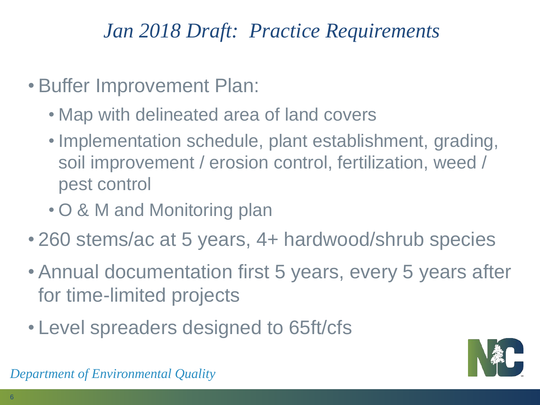# *Jan 2018 Draft: Practice Requirements*

- Buffer Improvement Plan:
	- Map with delineated area of land covers
	- Implementation schedule, plant establishment, grading, soil improvement / erosion control, fertilization, weed / pest control
	- O & M and Monitoring plan
- 260 stems/ac at 5 years, 4+ hardwood/shrub species
- Annual documentation first 5 years, every 5 years after for time-limited projects
- Level spreaders designed to 65ft/cfs

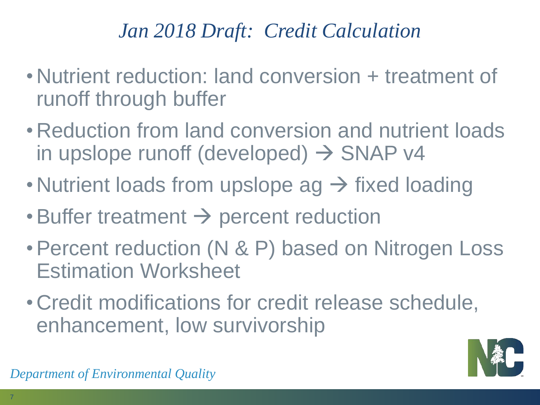# *Jan 2018 Draft: Credit Calculation*

- •Nutrient reduction: land conversion + treatment of runoff through buffer
- •Reduction from land conversion and nutrient loads in upslope runoff (developed)  $\rightarrow$  SNAP v4
- Nutrient loads from upslope  $ag \rightarrow f$  ixed loading
- Buffer treatment  $\rightarrow$  percent reduction
- •Percent reduction (N & P) based on Nitrogen Loss Estimation Worksheet
- •Credit modifications for credit release schedule, enhancement, low survivorship

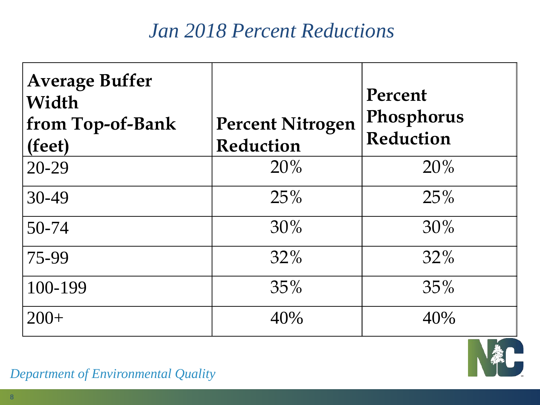### *Jan 2018 Percent Reductions*

| <b>Average Buffer</b><br>Width<br>from Top-of-Bank<br>(feet) | <b>Percent Nitrogen</b><br>Reduction | Percent<br>Phosphorus<br>Reduction |
|--------------------------------------------------------------|--------------------------------------|------------------------------------|
| 20-29                                                        | 20%                                  | 20%                                |
| $30 - 49$                                                    | 25%                                  | 25%                                |
| 50-74                                                        | 30%                                  | 30%                                |
| 75-99                                                        | 32%                                  | $32\%$                             |
| 100-199                                                      | 35%                                  | 35%                                |
| $200+$                                                       | 40%                                  | 40%                                |

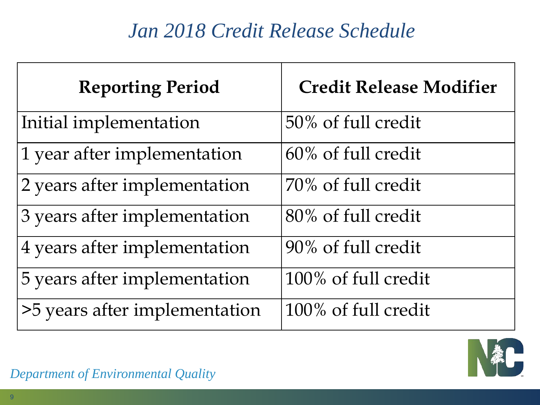# *Jan 2018 Credit Release Schedule*

| <b>Reporting Period</b>       | <b>Credit Release Modifier</b> |
|-------------------------------|--------------------------------|
| Initial implementation        | 50% of full credit             |
| 1 year after implementation   | 60% of full credit             |
| 2 years after implementation  | 70% of full credit             |
| 3 years after implementation  | 80% of full credit             |
| 4 years after implementation  | 90% of full credit             |
| 5 years after implementation  | 100% of full credit            |
| >5 years after implementation | 100% of full credit            |

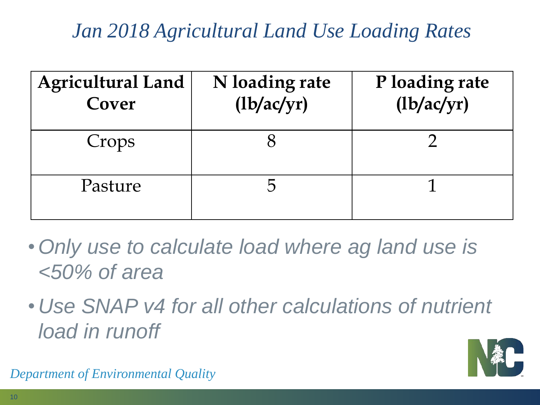# *Jan 2018 Agricultural Land Use Loading Rates*

| <b>Agricultural Land</b><br>Cover | N loading rate<br>$\frac{1}{\text{log}(y)}$ | P loading rate<br>$\frac{1}{\text{log}(y)}$ |
|-----------------------------------|---------------------------------------------|---------------------------------------------|
| Crops                             |                                             |                                             |
| Pasture                           |                                             |                                             |

- •*Only use to calculate load where ag land use is <50% of area*
- •*Use SNAP v4 for all other calculations of nutrient load in runoff*

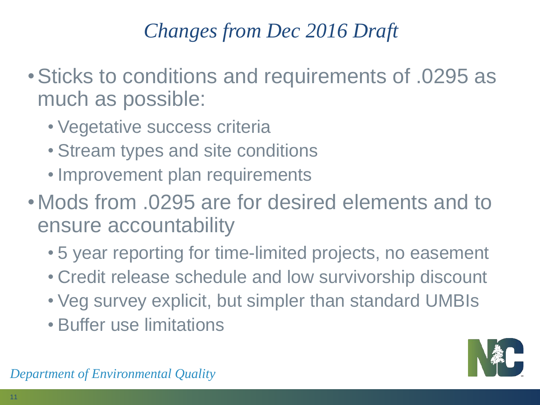# *Changes from Dec 2016 Draft*

- •Sticks to conditions and requirements of .0295 as much as possible:
	- Vegetative success criteria
	- Stream types and site conditions
	- Improvement plan requirements
- •Mods from .0295 are for desired elements and to ensure accountability
	- 5 year reporting for time-limited projects, no easement
	- Credit release schedule and low survivorship discount
	- Veg survey explicit, but simpler than standard UMBIs
	- Buffer use limitations

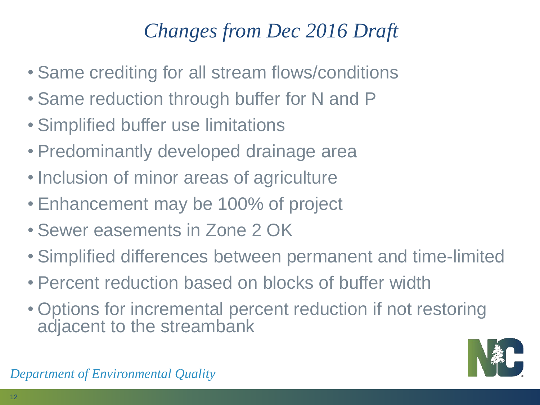# *Changes from Dec 2016 Draft*

- Same crediting for all stream flows/conditions
- Same reduction through buffer for N and P
- Simplified buffer use limitations
- Predominantly developed drainage area
- Inclusion of minor areas of agriculture
- Enhancement may be 100% of project
- Sewer easements in Zone 2 OK
- Simplified differences between permanent and time-limited
- Percent reduction based on blocks of buffer width
- Options for incremental percent reduction if not restoring adjacent to the streambank

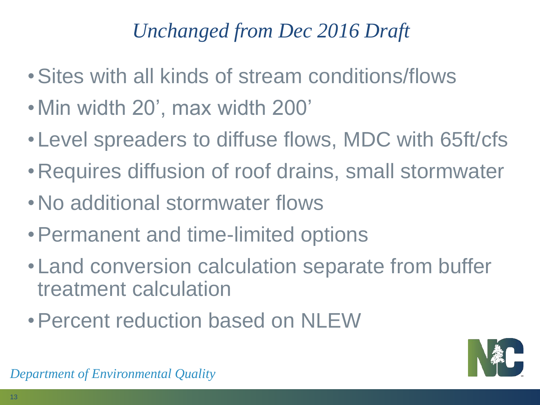# *Unchanged from Dec 2016 Draft*

- •Sites with all kinds of stream conditions/flows
- •Min width 20', max width 200'
- •Level spreaders to diffuse flows, MDC with 65ft/cfs
- •Requires diffusion of roof drains, small stormwater
- •No additional stormwater flows
- •Permanent and time-limited options
- •Land conversion calculation separate from buffer treatment calculation
- •Percent reduction based on NLEW